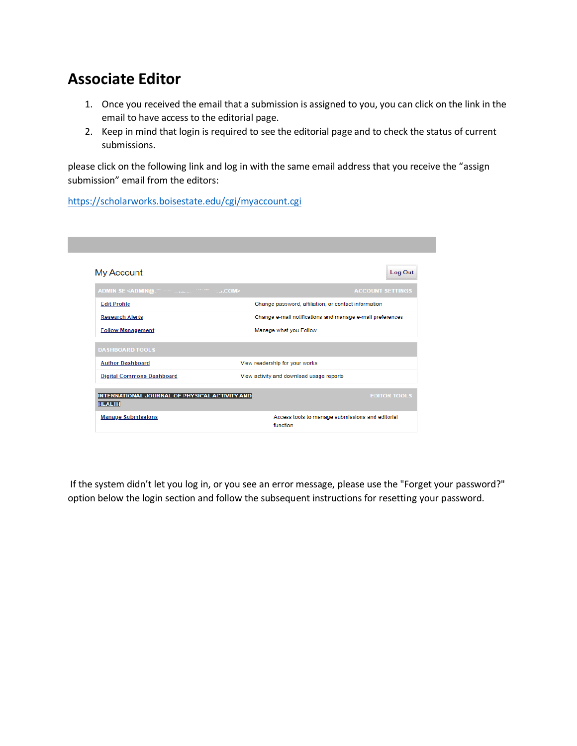# **Associate Editor**

- 1. Once you received the email that a submission is assigned to you, you can click on the link in the email to have access to the editorial page.
- 2. Keep in mind that login is required to see the editorial page and to check the status of current submissions.

please click on the following link and log in with the same email address that you receive the "assign submission" email from the editors:

<https://scholarworks.boisestate.edu/cgi/myaccount.cgi>

| Log Out                                                                                  |
|------------------------------------------------------------------------------------------|
| ADMIN SE <admin@. manuscritting="" stocks<br="" the=""><b>ACCOUNT SETTINGS</b></admin@.> |
| Change password, affiliation, or contact information                                     |
| Change e-mail notifications and manage e-mail preferences                                |
| Manage what you Follow                                                                   |
|                                                                                          |
| View readership for your works                                                           |
| View activity and download usage reports                                                 |
| INTERNATIONAL JOURNAL OF PHYSICAL ACTIVITY AND<br><b>EDITOR TOOLS</b>                    |
|                                                                                          |
|                                                                                          |

If the system didn't let you log in, or you see an error message, please use the "Forget your password?" option below the login section and follow the subsequent instructions for resetting your password.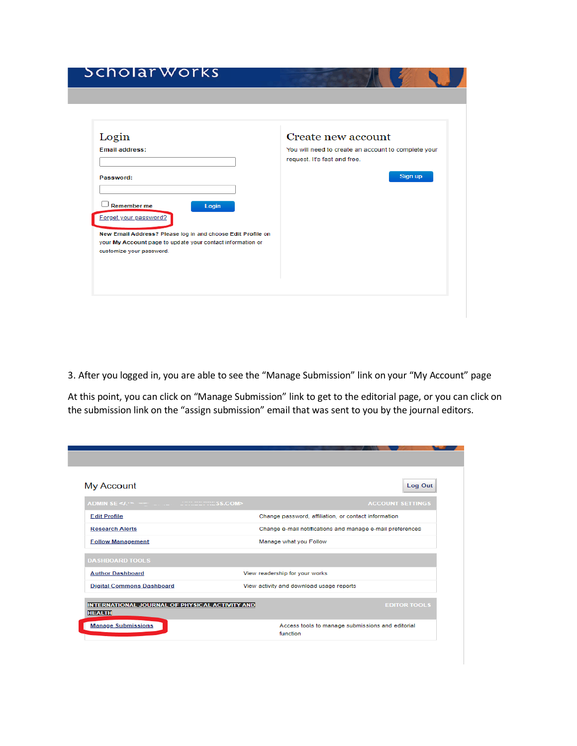# Scholar Works

| Login                                                                                                        | Create new account                                                                  |
|--------------------------------------------------------------------------------------------------------------|-------------------------------------------------------------------------------------|
| <b>Email address:</b>                                                                                        | You will need to create an account to complete your<br>request. It's fast and free. |
| Password:                                                                                                    | Sign up                                                                             |
| Remember me<br>Login<br>Forget your password?<br>New Email Address? Please log in and choose Edit Profile on |                                                                                     |
| your My Account page to update your contact information or<br>customize your password.                       |                                                                                     |

3. After you logged in, you are able to see the "Manage Submission" link on your "My Account" page

At this point, you can click on "Manage Submission" link to get to the editorial page, or you can click on the submission link on the "assign submission" email that was sent to you by the journal editors.

| My Account                                                      | Log Out                                                      |
|-----------------------------------------------------------------|--------------------------------------------------------------|
|                                                                 | <b>ACCOUNT SETTINGS</b>                                      |
| <b>Edit Profile</b>                                             | Change password, affiliation, or contact information         |
| <b>Research Alerts</b>                                          | Change e-mail notifications and manage e-mail preferences    |
| <b>Follow Management</b>                                        | Manage what you Follow                                       |
| <b>DASHBOARD TOOLS</b>                                          |                                                              |
| <b>Author Dashboard</b>                                         | View readership for your works                               |
| <b>Digital Commons Dashboard</b>                                | View activity and download usage reports                     |
| INTERNATIONAL JOURNAL OF PHYSICAL ACTIVITY AND<br><b>HEALTH</b> | <b>EDITOR TOOLS</b>                                          |
| <b>Manage Submissions</b>                                       | Access tools to manage submissions and editorial<br>function |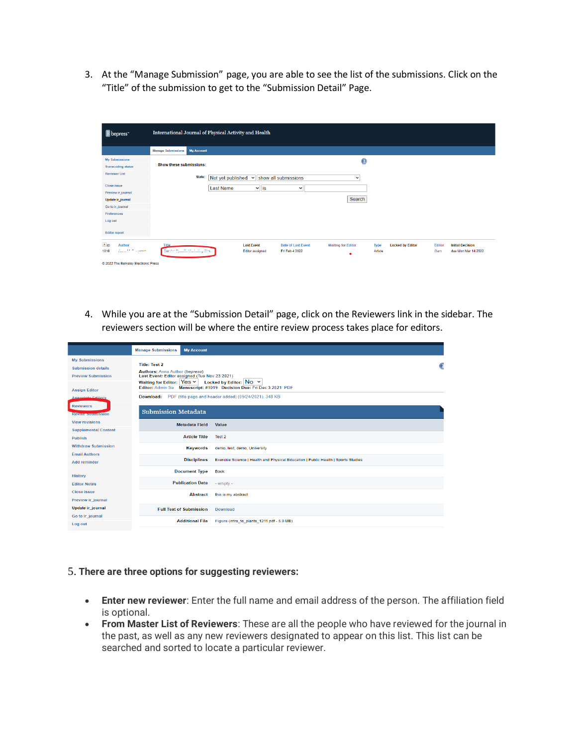3. At the "Manage Submission" page, you are able to see the list of the submissions. Click on the "Title" of the submission to get to the "Submission Detail" Page.

| <b>B</b> bepress <sup>-</sup>                                          | International Journal of Physical Activity and Health                                                                                                                                                                                                                                         |  |  |  |  |  |  |  |  |  |  |
|------------------------------------------------------------------------|-----------------------------------------------------------------------------------------------------------------------------------------------------------------------------------------------------------------------------------------------------------------------------------------------|--|--|--|--|--|--|--|--|--|--|
|                                                                        | <b>My Account</b><br><b>Manage Submissions</b>                                                                                                                                                                                                                                                |  |  |  |  |  |  |  |  |  |  |
| <b>My Submissions</b><br><b>Transcoding status</b>                     | $\mathbf{O}$<br>Show these submissions:                                                                                                                                                                                                                                                       |  |  |  |  |  |  |  |  |  |  |
| <b>Reviewer List</b>                                                   | State:<br>Not yet published<br>show all submissions<br>$\checkmark$<br>$\checkmark$                                                                                                                                                                                                           |  |  |  |  |  |  |  |  |  |  |
| Close issue<br>Preview ir_journal                                      | $\mathbf{v}$ is<br><b>Last Name</b><br>$\checkmark$                                                                                                                                                                                                                                           |  |  |  |  |  |  |  |  |  |  |
| Update ir_journal<br>Go to ir journal                                  | Search                                                                                                                                                                                                                                                                                        |  |  |  |  |  |  |  |  |  |  |
| Preferences                                                            |                                                                                                                                                                                                                                                                                               |  |  |  |  |  |  |  |  |  |  |
| Log out<br><b>Editor report</b>                                        |                                                                                                                                                                                                                                                                                               |  |  |  |  |  |  |  |  |  |  |
| $\Psi$ <sub>ID</sub><br>Author<br><b>Zunion McCollisioners</b><br>1010 | <b>Last Event</b><br><b>Date of Last Event</b><br><b>Waiting for Editor</b><br><b>Locked by Editor</b><br><b>Initial Decision</b><br>Title.<br>Type<br>Editor<br>Center Specific Multipling Ctrain<br>due Mon Mar 14 2022<br><b>Editor assigned</b><br>Fri Feb 4 2022<br>Article<br>Garn<br>٠ |  |  |  |  |  |  |  |  |  |  |
| @ 2022 The Berkeley Electronic Press                                   |                                                                                                                                                                                                                                                                                               |  |  |  |  |  |  |  |  |  |  |

4. While you are at the "Submission Detail" page, click on the Reviewers link in the sidebar. The reviewers section will be where the entire review process takes place for editors.

|                                                                                  | <b>Manage Submissions</b>                                                                                                                                                                       | <b>My Account</b>                                                                                                             |                                                                                                  |  |  |  |  |  |  |  |  |
|----------------------------------------------------------------------------------|-------------------------------------------------------------------------------------------------------------------------------------------------------------------------------------------------|-------------------------------------------------------------------------------------------------------------------------------|--------------------------------------------------------------------------------------------------|--|--|--|--|--|--|--|--|
| <b>My Submissions</b><br><b>Submission details</b><br><b>Preview Submission</b>  | <b>Title: Test 2</b><br><b>Authors:</b> Anna Author (bepress)<br>Last Event: Editor assigned (Tue Nov 23 2021)<br>Waiting for Editor: Yes v<br>Locked by Editor: $\overline{N}$ O $\rightarrow$ |                                                                                                                               |                                                                                                  |  |  |  |  |  |  |  |  |
| <b>Assign Editor</b><br>A seggiate Editors<br><b>Reviewers</b>                   | Download:<br><b>Submission Metadata</b>                                                                                                                                                         | Editor: Admin Se Manuscript: #1019 Decision Due: Fri Dec 3 2021 PDF<br>PDF (title page and header added) (09/24/2021), 348 KB |                                                                                                  |  |  |  |  |  |  |  |  |
| <b>Revise supmission</b><br><b>View revisions</b><br><b>Supplemental Content</b> |                                                                                                                                                                                                 | <b>Metadata Field</b>                                                                                                         | Value                                                                                            |  |  |  |  |  |  |  |  |
| <b>Publish</b><br><b>Withdraw Submission</b><br><b>Email Authors</b>             |                                                                                                                                                                                                 | <b>Article Title</b><br><b>Keywords</b>                                                                                       | Test 2<br>demo, test, demo, University                                                           |  |  |  |  |  |  |  |  |
| <b>Add reminder</b>                                                              |                                                                                                                                                                                                 | <b>Disciplines</b><br><b>Document Type</b>                                                                                    | Exercise Science   Health and Physical Education   Public Health   Sports Studies<br><b>Book</b> |  |  |  |  |  |  |  |  |
| <b>History</b><br><b>Editor Notes</b><br>Close issue                             |                                                                                                                                                                                                 | <b>Publication Date</b>                                                                                                       | $-$ empty $-$                                                                                    |  |  |  |  |  |  |  |  |
| Preview ir_journal<br>Update ir_journal                                          |                                                                                                                                                                                                 | <b>Abstract</b><br><b>Full Text of Submission</b>                                                                             | this is my abstract<br><b>Download</b>                                                           |  |  |  |  |  |  |  |  |
| Go to ir journal<br>Log out                                                      |                                                                                                                                                                                                 | <b>Additional File</b>                                                                                                        | Figure (intro to plants 1211.pdf - 5.0 MB)                                                       |  |  |  |  |  |  |  |  |

## 5. **There are three options for suggesting reviewers:**

- **Enter new reviewer**: Enter the full name and email address of the person. The affiliation field is optional.
- **From Master List of Reviewers**: These are all the people who have reviewed for the journal in the past, as well as any new reviewers designated to appear on this list. This list can be searched and sorted to locate a particular reviewer.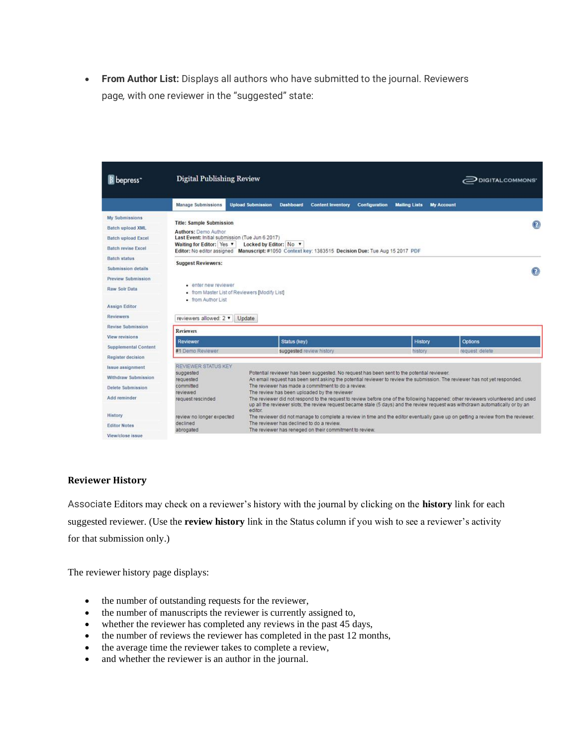• **From Author List:** Displays all authors who have submitted to the journal. Reviewers page*,* with one reviewer in the "suggested" state:

| bepress <sup>-</sup>        | <b>Digital Publishing Review</b>                        |                                               |                                                                                                      |                      |                      |                   | DIGITALCOMMONS'                                                                                                                                                                                                                                                     |
|-----------------------------|---------------------------------------------------------|-----------------------------------------------|------------------------------------------------------------------------------------------------------|----------------------|----------------------|-------------------|---------------------------------------------------------------------------------------------------------------------------------------------------------------------------------------------------------------------------------------------------------------------|
|                             | <b>Manage Submissions</b>                               | <b>Upload Submission</b>                      | <b>Dashboard</b><br><b>Content Inventory</b>                                                         | <b>Configuration</b> | <b>Mailing Lists</b> | <b>My Account</b> |                                                                                                                                                                                                                                                                     |
| <b>My Submissions</b>       |                                                         |                                               |                                                                                                      |                      |                      |                   |                                                                                                                                                                                                                                                                     |
| <b>Batch upload XML</b>     | <b>Title: Sample Submission</b><br>Authors: Demo Author |                                               |                                                                                                      |                      |                      |                   | ◉                                                                                                                                                                                                                                                                   |
| <b>Batch upload Excel</b>   | Last Event: Initial submission (Tue Jun 6 2017)         |                                               |                                                                                                      |                      |                      |                   |                                                                                                                                                                                                                                                                     |
| <b>Batch revise Excel</b>   | Waiting for Editor: Yes                                 | Locked by Editor: No v                        | Editor: No editor assigned Manuscript: #1050 Context key: 1383515 Decision Due: Tue Aug 15 2017 PDF  |                      |                      |                   |                                                                                                                                                                                                                                                                     |
| <b>Batch status</b>         |                                                         |                                               |                                                                                                      |                      |                      |                   |                                                                                                                                                                                                                                                                     |
| Submission details          | <b>Suggest Reviewers:</b>                               |                                               |                                                                                                      |                      |                      |                   |                                                                                                                                                                                                                                                                     |
| Preview Submission          |                                                         |                                               |                                                                                                      |                      |                      |                   |                                                                                                                                                                                                                                                                     |
| Raw Solr Data               | · enter new reviewer                                    | . from Master List of Reviewers [Modify List] |                                                                                                      |                      |                      |                   |                                                                                                                                                                                                                                                                     |
| <b>Assign Editor</b>        | · from Author List                                      |                                               |                                                                                                      |                      |                      |                   |                                                                                                                                                                                                                                                                     |
| <b>Reviewers</b>            | reviewers allowed: 2 ▼                                  | Update                                        |                                                                                                      |                      |                      |                   |                                                                                                                                                                                                                                                                     |
| <b>Revise Submission</b>    | <b>Reviewers</b>                                        |                                               |                                                                                                      |                      |                      |                   |                                                                                                                                                                                                                                                                     |
| View revisions              |                                                         |                                               |                                                                                                      |                      |                      |                   |                                                                                                                                                                                                                                                                     |
| <b>Supplemental Content</b> | Reviewer<br>#1 Demo Reviewer                            |                                               | Status (key)                                                                                         |                      | History              |                   | Options                                                                                                                                                                                                                                                             |
| Register decision           |                                                         |                                               | suggested review history                                                                             |                      | history              |                   | request delete                                                                                                                                                                                                                                                      |
| Issue assignment            | REVIEWER STATUS KEY                                     |                                               |                                                                                                      |                      |                      |                   |                                                                                                                                                                                                                                                                     |
| Withdraw Submission         | suggested<br>requested                                  |                                               | Potential reviewer has been suggested. No request has been sent to the potential reviewer.           |                      |                      |                   | An email request has been sent asking the potential reviewer to review the submission. The reviewer has not yet responded.                                                                                                                                          |
| Delete Submission           | committed<br>reviewed                                   |                                               | The reviewer has made a commitment to do a review.<br>The review has been uploaded by the reviewer   |                      |                      |                   |                                                                                                                                                                                                                                                                     |
| Add reminder                | request rescinded                                       | editor.                                       |                                                                                                      |                      |                      |                   | The reviewer did not respond to the request to review before one of the following happened; other reviewers volunteered and used<br>up all the reviewer slots; the review request became stale (5 days) and the review request was withdrawn automatically or by an |
| History                     | review no longer expected                               |                                               |                                                                                                      |                      |                      |                   | The reviewer did not manage to complete a review in time and the editor eventually gave up on getting a review from the reviewer.                                                                                                                                   |
| <b>Editor Notes</b>         | declined<br>abrogated                                   |                                               | The reviewer has declined to do a review.<br>The reviewer has reneged on their commitment to review. |                      |                      |                   |                                                                                                                                                                                                                                                                     |
|                             |                                                         |                                               |                                                                                                      |                      |                      |                   |                                                                                                                                                                                                                                                                     |

#### **Reviewer History**

Associate Editors may check on a reviewer's history with the journal by clicking on the **history** link for each suggested reviewer. (Use the **review history** link in the Status column if you wish to see a reviewer's activity for that submission only.)

The reviewer history page displays:

- the number of outstanding requests for the reviewer,
- the number of manuscripts the reviewer is currently assigned to,
- whether the reviewer has completed any reviews in the past 45 days,
- the number of reviews the reviewer has completed in the past 12 months,
- the average time the reviewer takes to complete a review,
- and whether the reviewer is an author in the journal.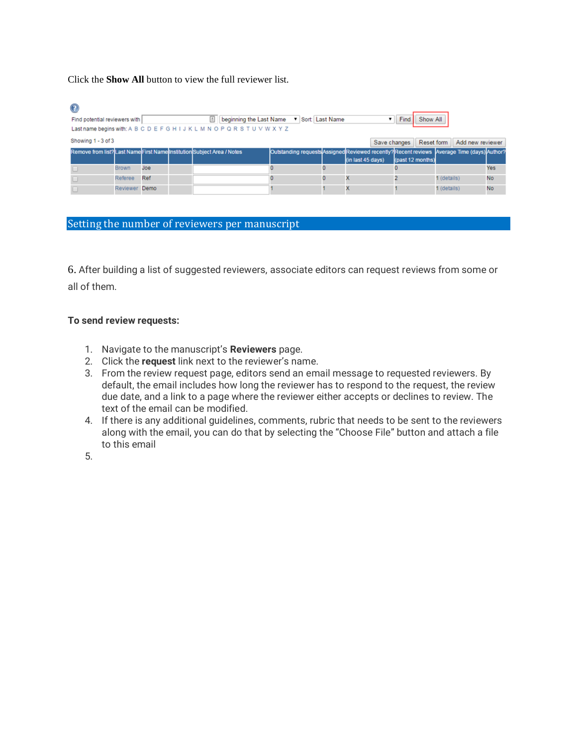Click the **Show All** button to view the full reviewer list.

## $\odot$

| Find potential reviewers with                                              |               |     | 击 | beginning the Last Name v Sort Last Name |  |  |                                                                                             |              | <b>Find</b>      | Show All |             |                               |           |  |
|----------------------------------------------------------------------------|---------------|-----|---|------------------------------------------|--|--|---------------------------------------------------------------------------------------------|--------------|------------------|----------|-------------|-------------------------------|-----------|--|
| Last name begins with: A B C D E F G H I J K L M N O P Q R S T U V W X Y Z |               |     |   |                                          |  |  |                                                                                             |              |                  |          |             |                               |           |  |
| Showing 1 - 3 of 3                                                         |               |     |   |                                          |  |  |                                                                                             | Save changes |                  |          |             | Reset form   Add new reviewer |           |  |
| Remove from list? Last Name First Name Institution Subject Area / Notes    |               |     |   |                                          |  |  | Outstanding requests Assigned Reviewed recently? Recent reviews Average Time (days) Author? |              |                  |          |             |                               |           |  |
|                                                                            |               |     |   |                                          |  |  | (in last 45 days)                                                                           |              | (past 12 months) |          |             |                               |           |  |
|                                                                            | <b>Brown</b>  | Joe |   |                                          |  |  |                                                                                             |              |                  |          |             |                               | Yes       |  |
|                                                                            | Referee       | Ref |   |                                          |  |  |                                                                                             |              |                  |          | 1 (details) |                               | No        |  |
|                                                                            | Reviewer Demo |     |   |                                          |  |  |                                                                                             |              |                  |          | 1 (details) |                               | <b>No</b> |  |

## Setting the number of reviewers per manuscript

6. After building a list of suggested reviewers, associate editors can request reviews from some or all of them.

## **To send review requests:**

- 1. Navigate to the manuscript's **Reviewers** page.
- 2. Click the **request** link next to the reviewer's name.
- 3. From the review request page, editors send an email message to requested reviewers. By default, the email includes how long the reviewer has to respond to the request, the review due date, and a link to a page where the reviewer either accepts or declines to review. The text of the email can be modified.
- 4. If there is any additional guidelines, comments, rubric that needs to be sent to the reviewers along with the email, you can do that by selecting the "Choose File" button and attach a file to this email

5.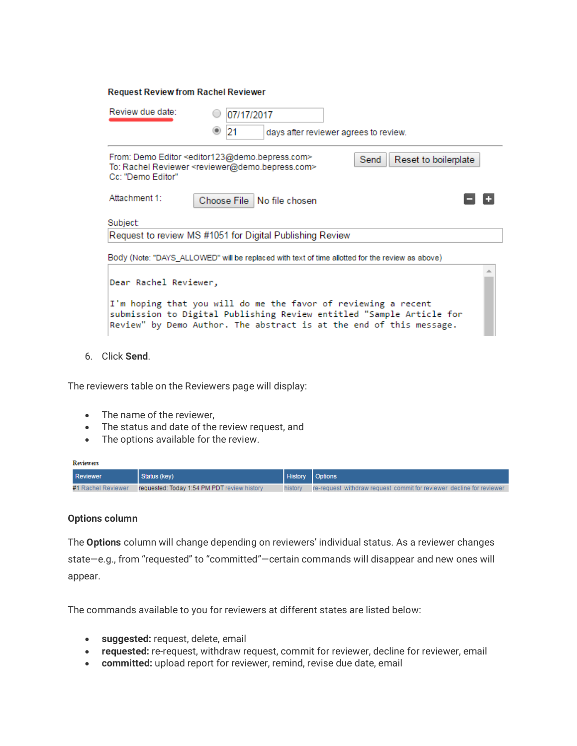| Review due date:<br>07/17/2017                                                                                                                                                                                                         |
|----------------------------------------------------------------------------------------------------------------------------------------------------------------------------------------------------------------------------------------|
| 21<br>days after reviewer agrees to review.                                                                                                                                                                                            |
| From: Demo Editor <editor123@demo.bepress.com><br/>Reset to boilerplate<br/>Send<br/>To: Rachel Reviewer <reviewer@demo.bepress.com><br/>Cc: "Demo Editor"</reviewer@demo.bepress.com></editor123@demo.bepress.com>                    |
| Attachment 1:<br>Choose File No file chosen                                                                                                                                                                                            |
| Subject:                                                                                                                                                                                                                               |
| Request to review MS #1051 for Digital Publishing Review                                                                                                                                                                               |
| Body (Note: "DAYS_ALLOWED" will be replaced with text of time allotted for the review as above)                                                                                                                                        |
| Dear Rachel Reviewer,<br>I'm hoping that you will do me the favor of reviewing a recent<br>submission to Digital Publishing Review entitled "Sample Article for<br>Review" by Demo Author. The abstract is at the end of this message. |

6. Click **Send**.

The reviewers table on the Reviewers page will display:

**Request Review from Rachel Reviewer** 

- The name of the reviewer,
- The status and date of the review request, and
- The options available for the review.

#### Reviewers

| <b>Reviewer</b>    | Status (kev)                                |         | <b>History   Options</b>                                             |
|--------------------|---------------------------------------------|---------|----------------------------------------------------------------------|
| #1 Rachel Reviewer | requested: Today 1:54 PM PDT review history | history | re-request withdraw request commit for reviewer decline for reviewer |

## **Options column**

The **Options** column will change depending on reviewers' individual status. As a reviewer changes state—e.g., from "requested" to "committed"—certain commands will disappear and new ones will appear.

The commands available to you for reviewers at different states are listed below:

- **suggested:** request, delete, email
- **requested:** re-request, withdraw request, commit for reviewer, decline for reviewer, email
- **committed:** upload report for reviewer, remind, revise due date, email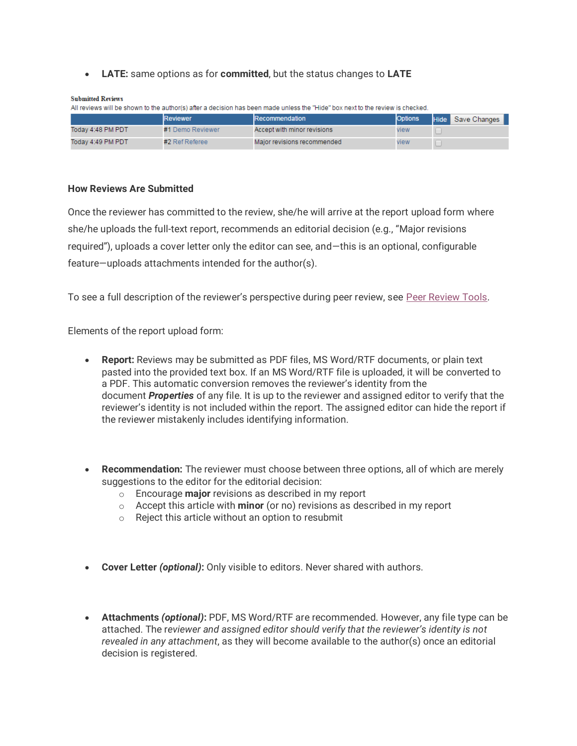## • **LATE:** same options as for **committed**, but the status changes to **LATE**

| <b>Submitted Reviews</b> |  |
|--------------------------|--|
|                          |  |

| All reviews will be shown to the author(s) after a decision has been made unless the "Hide" box next to the review is checked. |                  |                             |      |  |  |  |  |  |  |
|--------------------------------------------------------------------------------------------------------------------------------|------------------|-----------------------------|------|--|--|--|--|--|--|
| <b>Options</b><br><b>Reviewer</b><br>Recommendation<br>Hide Save Changes                                                       |                  |                             |      |  |  |  |  |  |  |
| Today 4:48 PM PDT                                                                                                              | #1 Demo Reviewer | Accept with minor revisions | view |  |  |  |  |  |  |
| Todav 4:49 PM PDT                                                                                                              | #2 Ref Referee   | Major revisions recommended | view |  |  |  |  |  |  |

## **How Reviews Are Submitted**

Once the reviewer has committed to the review, she/he will arrive at the report upload form where she/he uploads the full-text report, recommends an editorial decision (e.g., "Major revisions required"), uploads a cover letter only the editor can see, and—this is an optional, configurable feature—uploads attachments intended for the author(s).

To see a full description of the reviewer's perspective during peer review, see [Peer Review Tools.](https://bepress.com/reference_guide_dc/3150/)

Elements of the report upload form:

- **Report:** Reviews may be submitted as PDF files, MS Word/RTF documents, or plain text pasted into the provided text box. If an MS Word/RTF file is uploaded, it will be converted to a PDF. This automatic conversion removes the reviewer's identity from the document *Properties* of any file. It is up to the reviewer and assigned editor to verify that the reviewer's identity is not included within the report. The assigned editor can hide the report if the reviewer mistakenly includes identifying information.
- **Recommendation:** The reviewer must choose between three options, all of which are merely suggestions to the editor for the editorial decision:
	- o Encourage **major** revisions as described in my report
	- o Accept this article with **minor** (or no) revisions as described in my report
	- o Reject this article without an option to resubmit
- **Cover Letter** *(optional)***:** Only visible to editors. Never shared with authors.
- **Attachments** *(optional)***:** PDF, MS Word/RTF are recommended. However, any file type can be attached. The r*eviewer and assigned editor should verify that the reviewer's identity is not revealed in any attachment*, as they will become available to the author(s) once an editorial decision is registered.